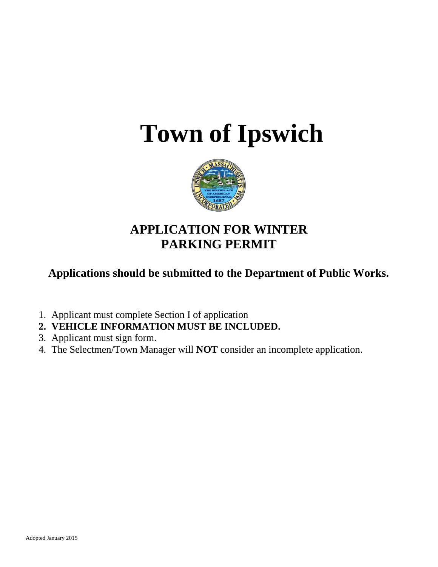# **Town of Ipswich**



## **APPLICATION FOR WINTER PARKING PERMIT**

**Applications should be submitted to the Department of Public Works.**

- 1. Applicant must complete Section I of application
- **2. VEHICLE INFORMATION MUST BE INCLUDED.**
- 3. Applicant must sign form.
- 4. The Selectmen/Town Manager will **NOT** consider an incomplete application.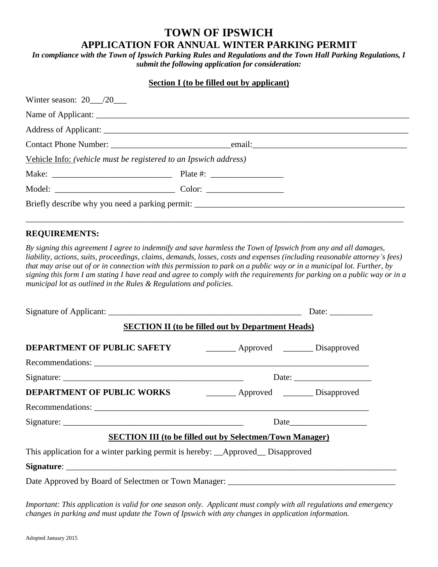### **TOWN OF IPSWICH APPLICATION FOR ANNUAL WINTER PARKING PERMIT**

*In compliance with the Town of Ipswich Parking Rules and Regulations and the Town Hall Parking Regulations, I submit the following application for consideration:*

| <b>Section I</b> (to be filled out by applicant)                 |  |  |
|------------------------------------------------------------------|--|--|
|                                                                  |  |  |
|                                                                  |  |  |
|                                                                  |  |  |
|                                                                  |  |  |
| Vehicle Info: (vehicle must be registered to an Ipswich address) |  |  |
|                                                                  |  |  |
|                                                                  |  |  |
|                                                                  |  |  |

#### **REQUIREMENTS:**

*By signing this agreement I agree to indemnify and save harmless the Town of Ipswich from any and all damages, liability, actions, suits, proceedings, claims, demands, losses, costs and expenses (including reasonable attorney's fees) that may arise out of or in connection with this permission to park on a public way or in a municipal lot. Further, by signing this form I am stating I have read and agree to comply with the requirements for parking on a public way or in a municipal lot as outlined in the Rules & Regulations and policies.*

\_\_\_\_\_\_\_\_\_\_\_\_\_\_\_\_\_\_\_\_\_\_\_\_\_\_\_\_\_\_\_\_\_\_\_\_\_\_\_\_\_\_\_\_\_\_\_\_\_\_\_\_\_\_\_\_\_\_\_\_\_\_\_\_\_\_\_\_\_\_\_\_\_\_\_\_\_\_\_\_\_\_\_\_\_\_\_\_

|                                                                                 |                                                          | Date: $\frac{1}{\sqrt{1-\frac{1}{2}}\cdot\frac{1}{2}}$ |
|---------------------------------------------------------------------------------|----------------------------------------------------------|--------------------------------------------------------|
|                                                                                 | <b>SECTION II</b> (to be filled out by Department Heads) |                                                        |
| DEPARTMENT OF PUBLIC SAFETY                                                     | Approved Disapproved                                     |                                                        |
|                                                                                 |                                                          |                                                        |
|                                                                                 |                                                          |                                                        |
| <b>DEPARTMENT OF PUBLIC WORKS</b>                                               | Approved Disapproved                                     |                                                        |
|                                                                                 |                                                          |                                                        |
|                                                                                 | Date $\qquad \qquad$                                     |                                                        |
| <b>SECTION III (to be filled out by Selectmen/Town Manager)</b>                 |                                                          |                                                        |
| This application for a winter parking permit is hereby: __Approved__Disapproved |                                                          |                                                        |
|                                                                                 |                                                          |                                                        |
|                                                                                 |                                                          |                                                        |

*Important: This application is valid for one season only. Applicant must comply with all regulations and emergency changes in parking and must update the Town of Ipswich with any changes in application information.*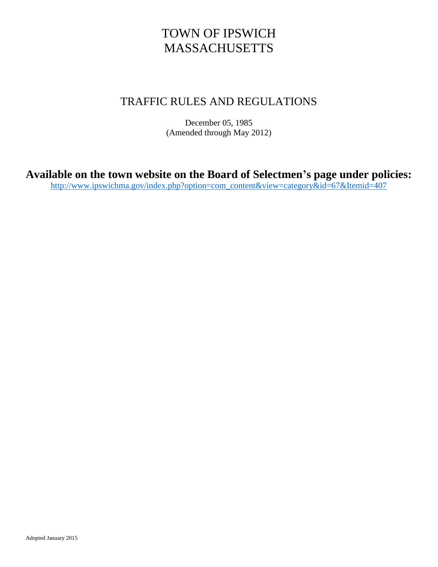## TOWN OF IPSWICH MASSACHUSETTS

## TRAFFIC RULES AND REGULATIONS

December 05, 1985 (Amended through May 2012)

**Available on the town website on the Board of Selectmen's page under policies:**

[http://www.ipswichma.gov/index.php?option=com\\_content&view=category&id=67&Itemid=407](http://www.ipswichma.gov/index.php?option=com_content&view=category&id=67&Itemid=407)